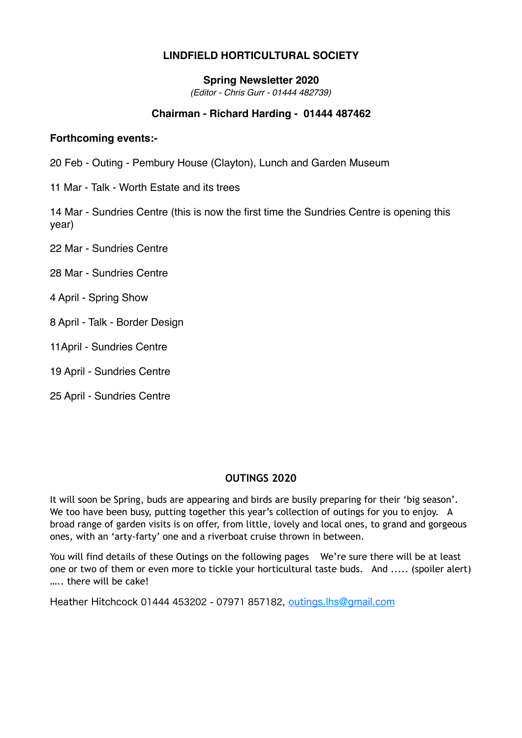# **LINDFIELD HORTICULTURAL SOCIETY**

## **Spring Newsletter 2020**

*(Editor - Chris Gurr - 01444 482739)*

## **Chairman - Richard Harding - 01444 487462**

## **Forthcoming events:-**

- 20 Feb Outing Pembury House (Clayton), Lunch and Garden Museum
- 11 Mar Talk Worth Estate and its trees

14 Mar - Sundries Centre (this is now the first time the Sundries Centre is opening this year)

- 22 Mar Sundries Centre
- 28 Mar Sundries Centre
- 4 April Spring Show
- 8 April Talk Border Design
- 11April Sundries Centre
- 19 April Sundries Centre
- 25 April Sundries Centre

## **OUTINGS 2020**

It will soon be Spring, buds are appearing and birds are busily preparing for their 'big season'. We too have been busy, putting together this year's collection of outings for you to enjoy. A broad range of garden visits is on offer, from little, lovely and local ones, to grand and gorgeous ones, with an 'arty-farty' one and a riverboat cruise thrown in between.

You will find details of these Outings on the following pages We're sure there will be at least one or two of them or even more to tickle your horticultural taste buds. And ..... (spoiler alert) ….. there will be cake!

Heather Hitchcock 01444 453202 - 07971 857182, [outings.lhs@gmail.com](mailto:outings.lhs@gmail.com)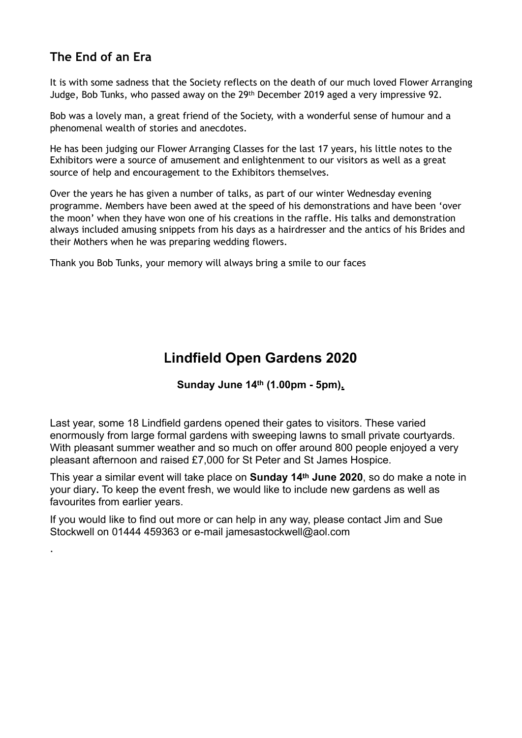# **The End of an Era**

.

It is with some sadness that the Society reflects on the death of our much loved Flower Arranging Judge, Bob Tunks, who passed away on the 29th December 2019 aged a very impressive 92.

Bob was a lovely man, a great friend of the Society, with a wonderful sense of humour and a phenomenal wealth of stories and anecdotes.

He has been judging our Flower Arranging Classes for the last 17 years, his little notes to the Exhibitors were a source of amusement and enlightenment to our visitors as well as a great source of help and encouragement to the Exhibitors themselves.

Over the years he has given a number of talks, as part of our winter Wednesday evening programme. Members have been awed at the speed of his demonstrations and have been 'over the moon' when they have won one of his creations in the raffle. His talks and demonstration always included amusing snippets from his days as a hairdresser and the antics of his Brides and their Mothers when he was preparing wedding flowers.

Thank you Bob Tunks, your memory will always bring a smile to our faces

# **Lindfield Open Gardens 2020**

**Sunday June 14th (1.00pm - 5pm).** 

Last year, some 18 Lindfield gardens opened their gates to visitors. These varied enormously from large formal gardens with sweeping lawns to small private courtyards. With pleasant summer weather and so much on offer around 800 people enjoyed a very pleasant afternoon and raised £7,000 for St Peter and St James Hospice.

This year a similar event will take place on **Sunday 14th June 2020**, so do make a note in your diary**.** To keep the event fresh, we would like to include new gardens as well as favourites from earlier years.

If you would like to find out more or can help in any way, please contact Jim and Sue Stockwell on 01444 459363 or e-mail jamesastockwell@aol.com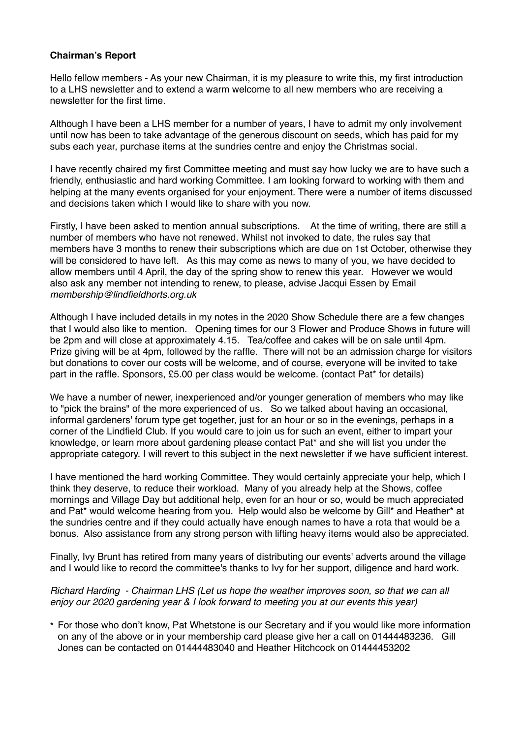## **Chairman's Report**

Hello fellow members - As your new Chairman, it is my pleasure to write this, my first introduction to a LHS newsletter and to extend a warm welcome to all new members who are receiving a newsletter for the first time.

Although I have been a LHS member for a number of years, I have to admit my only involvement until now has been to take advantage of the generous discount on seeds, which has paid for my subs each year, purchase items at the sundries centre and enjoy the Christmas social.

I have recently chaired my first Committee meeting and must say how lucky we are to have such a friendly, enthusiastic and hard working Committee. I am looking forward to working with them and helping at the many events organised for your enjoyment. There were a number of items discussed and decisions taken which I would like to share with you now.

Firstly, I have been asked to mention annual subscriptions. At the time of writing, there are still a number of members who have not renewed. Whilst not invoked to date, the rules say that members have 3 months to renew their subscriptions which are due on 1st October, otherwise they will be considered to have left. As this may come as news to many of you, we have decided to allow members until 4 April, the day of the spring show to renew this year. However we would also ask any member not intending to renew, to please, advise Jacqui Essen by Email *membership@lindfieldhorts.org.uk*

Although I have included details in my notes in the 2020 Show Schedule there are a few changes that I would also like to mention. Opening times for our 3 Flower and Produce Shows in future will be 2pm and will close at approximately 4.15. Tea/coffee and cakes will be on sale until 4pm. Prize giving will be at 4pm, followed by the raffle. There will not be an admission charge for visitors but donations to cover our costs will be welcome, and of course, everyone will be invited to take part in the raffle. Sponsors, £5.00 per class would be welcome. (contact Pat\* for details)

We have a number of newer, inexperienced and/or younger generation of members who may like to "pick the brains" of the more experienced of us. So we talked about having an occasional, informal gardeners' forum type get together, just for an hour or so in the evenings, perhaps in a corner of the Lindfield Club. If you would care to join us for such an event, either to impart your knowledge, or learn more about gardening please contact Pat\* and she will list you under the appropriate category. I will revert to this subject in the next newsletter if we have sufficient interest.

I have mentioned the hard working Committee. They would certainly appreciate your help, which I think they deserve, to reduce their workload. Many of you already help at the Shows, coffee mornings and Village Day but additional help, even for an hour or so, would be much appreciated and Pat\* would welcome hearing from you. Help would also be welcome by Gill\* and Heather\* at the sundries centre and if they could actually have enough names to have a rota that would be a bonus. Also assistance from any strong person with lifting heavy items would also be appreciated.

Finally, Ivy Brunt has retired from many years of distributing our events' adverts around the village and I would like to record the committee's thanks to Ivy for her support, diligence and hard work.

## *Richard Harding - Chairman LHS (Let us hope the weather improves soon, so that we can all enjoy our 2020 gardening year & I look forward to meeting you at our events this year)*

\* For those who don't know, Pat Whetstone is our Secretary and if you would like more information on any of the above or in your membership card please give her a call on 01444483236. Gill Jones can be contacted on 01444483040 and Heather Hitchcock on 01444453202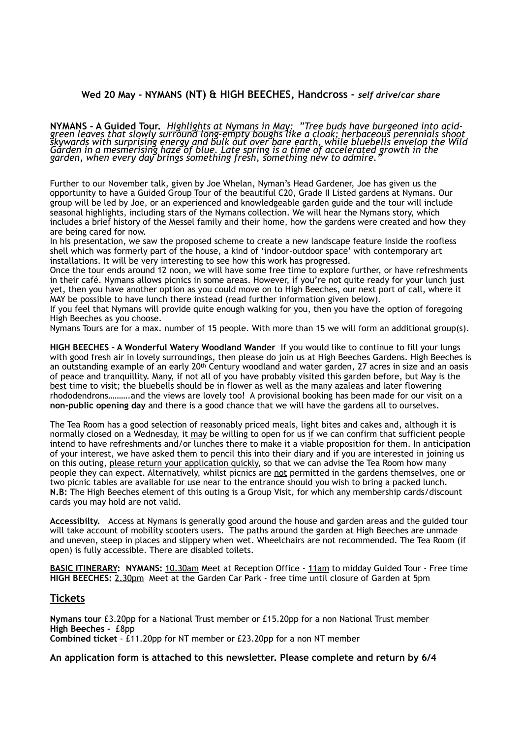#### **Wed 20 May - NYMANS (NT) & HIGH BEECHES, Handcross -** *self drive/car share*

**NYMANS - A Guided Tour.** *Highlights at Nymans in May: "Tree buds have burgeoned into acid- green leaves that slowly surround long-empty boughs like a cloak; herbaceous perennials shoot skywards with surprising energy and bulk out over bare earth, while bluebells envelop the Wild Garden in a mesmerising haze of blue. Late spring is a time of accelerated growth in the garden, when every day brings something fresh, something new to admire."* 

Further to our November talk, given by Joe Whelan, Nyman's Head Gardener, Joe has given us the opportunity to have a Guided Group Tour of the beautiful C20, Grade II Listed gardens at Nymans. Our group will be led by Joe, or an experienced and knowledgeable garden guide and the tour will include seasonal highlights, including stars of the Nymans collection. We will hear the Nymans story, which includes a brief history of the Messel family and their home, how the gardens were created and how they are being cared for now.

In his presentation, we saw the proposed scheme to create a new landscape feature inside the roofless shell which was formerly part of the house, a kind of 'indoor-outdoor space' with contemporary art installations. It will be very interesting to see how this work has progressed.

Once the tour ends around 12 noon, we will have some free time to explore further, or have refreshments in their café. Nymans allows picnics in some areas. However, if you're not quite ready for your lunch just yet, then you have another option as you could move on to High Beeches, our next port of call, where it MAY be possible to have lunch there instead (read further information given below)*.* 

If you feel that Nymans will provide quite enough walking for you, then you have the option of foregoing High Beeches as you choose.

Nymans Tours are for a max. number of 15 people. With more than 15 we will form an additional group(s).

**HIGH BEECHES – A Wonderful Watery Woodland Wander** If you would like to continue to fill your lungs with good fresh air in lovely surroundings, then please do join us at High Beeches Gardens. High Beeches is an outstanding example of an early 20<sup>th</sup> Century woodland and water garden, 27 acres in size and an oasis of peace and tranquillity. Many, if not all of you have probably visited this garden before, but May is the best time to visit; the bluebells should be in flower as well as the many azaleas and later flowering rhododendrons……….and the views are lovely too! A provisional booking has been made for our visit on a **non-public opening day** and there is a good chance that we will have the gardens all to ourselves.

The Tea Room has a good selection of reasonably priced meals, light bites and cakes and, although it is normally closed on a Wednesday, it may be willing to open for us if we can confirm that sufficient people intend to have refreshments and/or lunches there to make it a viable proposition for them. In anticipation of your interest, we have asked them to pencil this into their diary and if you are interested in joining us on this outing, please return your application quickly, so that we can advise the Tea Room how many people they can expect. Alternatively, whilst picnics are not permitted in the gardens themselves, one or two picnic tables are available for use near to the entrance should you wish to bring a packed lunch. **N.B:** The High Beeches element of this outing is a Group Visit, for which any membership cards/discount cards you may hold are not valid.

**Accessibilty.** Access at Nymans is generally good around the house and garden areas and the guided tour will take account of mobility scooters users. The paths around the garden at High Beeches are unmade and uneven, steep in places and slippery when wet. Wheelchairs are not recommended. The Tea Room (if open) is fully accessible. There are disabled toilets.

**BASIC ITINERARY: NYMANS:** 10.30am Meet at Reception Office - 11am to midday Guided Tour - Free time **HIGH BEECHES:** 2.30pm Meet at the Garden Car Park - free time until closure of Garden at 5pm

#### **Tickets**

**Nymans tour** £3.20pp for a National Trust member or £15.20pp for a non National Trust member **High Beeches -** £8pp **Combined ticket** - £11.20pp for NT member or £23.20pp for a non NT member

**An application form is attached to this newsletter. Please complete and return by 6/4**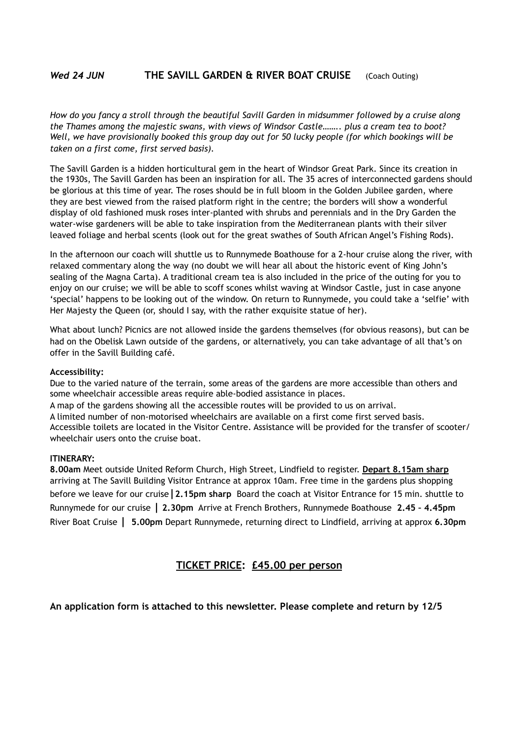#### *Wed 24 JUN* **THE SAVILL GARDEN & RIVER BOAT CRUISE** (Coach Outing)

*How do you fancy a stroll through the beautiful Savill Garden in midsummer followed by a cruise along the Thames among the majestic swans, with views of Windsor Castle…….. plus a cream tea to boot? Well, we have provisionally booked this group day out for 50 lucky people (for which bookings will be taken on a first come, first served basis).* 

The Savill Garden is a hidden horticultural gem in the heart of Windsor Great Park. Since its creation in the 1930s, The Savill Garden has been an inspiration for all. The 35 acres of interconnected gardens should be glorious at this time of year. The roses should be in full bloom in the Golden Jubilee garden, where they are best viewed from the raised platform right in the centre; the borders will show a wonderful display of old fashioned musk roses inter-planted with shrubs and perennials and in the Dry Garden the water-wise gardeners will be able to take inspiration from the Mediterranean plants with their silver leaved foliage and herbal scents (look out for the great swathes of South African Angel's Fishing Rods).

In the afternoon our coach will shuttle us to Runnymede Boathouse for a 2-hour cruise along the river, with relaxed commentary along the way (no doubt we will hear all about the historic event of King John's sealing of the Magna Carta). A traditional cream tea is also included in the price of the outing for you to enjoy on our cruise; we will be able to scoff scones whilst waving at Windsor Castle, just in case anyone 'special' happens to be looking out of the window. On return to Runnymede, you could take a 'selfie' with Her Majesty the Queen (or, should I say, with the rather exquisite statue of her).

What about lunch? Picnics are not allowed inside the gardens themselves (for obvious reasons), but can be had on the Obelisk Lawn outside of the gardens, or alternatively, you can take advantage of all that's on offer in the Savill Building café.

#### **Accessibility:**

Due to the varied nature of the terrain, some areas of the gardens are more accessible than others and some wheelchair accessible areas require able-bodied assistance in places.

A map of the gardens showing all the accessible routes will be provided to us on arrival.

A limited number of non-motorised wheelchairs are available on a first come first served basis. Accessible toilets are located in the Visitor Centre. Assistance will be provided for the transfer of scooter/

wheelchair users onto the cruise boat.

#### **ITINERARY:**

**8.00am** Meet outside United Reform Church, High Street, Lindfield to register. **Depart 8.15am sharp**  arriving at The Savill Building Visitor Entrance at approx 10am. Free time in the gardens plus shopping before we leave for our cruise**|2.15pm sharp** Board the coach at Visitor Entrance for 15 min. shuttle to Runnymede for our cruise **| 2.30pm** Arrive at French Brothers, Runnymede Boathouse **2.45 – 4.45pm** River Boat Cruise **| 5.00pm** Depart Runnymede, returning direct to Lindfield, arriving at approx **6.30pm**

## **TICKET PRICE: £45.00 per person**

## **An application form is attached to this newsletter. Please complete and return by 12/5**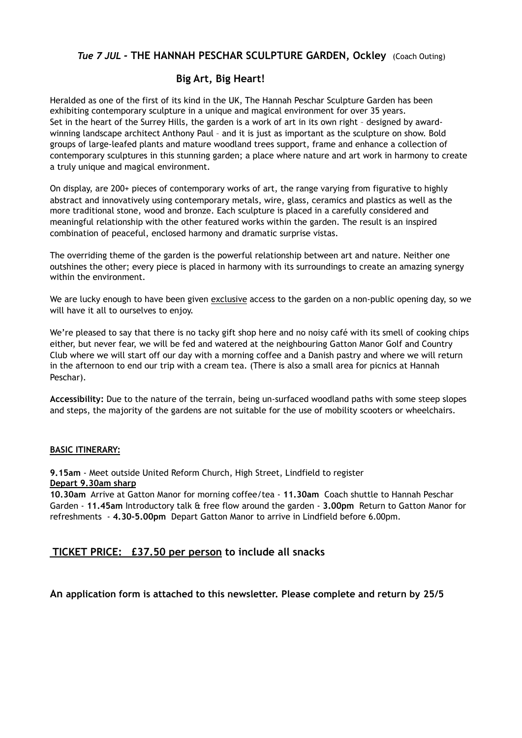## *Tue 7 JUL -* **THE HANNAH PESCHAR SCULPTURE GARDEN, Ockley** (Coach Outing)

## **Big Art, Big Heart!**

Heralded as one of the first of its kind in the UK, The Hannah Peschar Sculpture Garden has been exhibiting contemporary sculpture in a unique and magical environment for over 35 years. Set in the heart of the Surrey Hills, the garden is a work of art in its own right – designed by awardwinning landscape architect Anthony Paul – and it is just as important as the sculpture on show. Bold groups of large-leafed plants and mature woodland trees support, frame and enhance a collection of contemporary sculptures in this stunning garden; a place where nature and art work in harmony to create a truly unique and magical environment.

On display, are 200+ pieces of contemporary works of art, the range varying from figurative to highly abstract and innovatively using contemporary metals, wire, glass, ceramics and plastics as well as the more traditional stone, wood and bronze. Each sculpture is placed in a carefully considered and meaningful relationship with the other featured works within the garden. The result is an inspired combination of peaceful, enclosed harmony and dramatic surprise vistas.

The overriding theme of the garden is the powerful relationship between art and nature. Neither one outshines the other; every piece is placed in harmony with its surroundings to create an amazing synergy within the environment.

We are lucky enough to have been given exclusive access to the garden on a non-public opening day, so we will have it all to ourselves to enjoy.

We're pleased to say that there is no tacky gift shop here and no noisy café with its smell of cooking chips either, but never fear, we will be fed and watered at the neighbouring Gatton Manor Golf and Country Club where we will start off our day with a morning coffee and a Danish pastry and where we will return in the afternoon to end our trip with a cream tea. (There is also a small area for picnics at Hannah Peschar).

**Accessibility:** Due to the nature of the terrain, being un-surfaced woodland paths with some steep slopes and steps, the majority of the gardens are not suitable for the use of mobility scooters or wheelchairs.

#### **BASIC ITINERARY:**

**9.15am** - Meet outside United Reform Church, High Street, Lindfield to register **Depart 9.30am sharp**

**10.30am** Arrive at Gatton Manor for morning coffee/tea - **11.30am** Coach shuttle to Hannah Peschar Garden - **11.45am** Introductory talk & free flow around the garden - **3.00pm** Return to Gatton Manor for refreshments - **4.30-5.00pm** Depart Gatton Manor to arrive in Lindfield before 6.00pm.

## **TICKET PRICE: £37.50 per person to include all snacks**

**An application form is attached to this newsletter. Please complete and return by 25/5**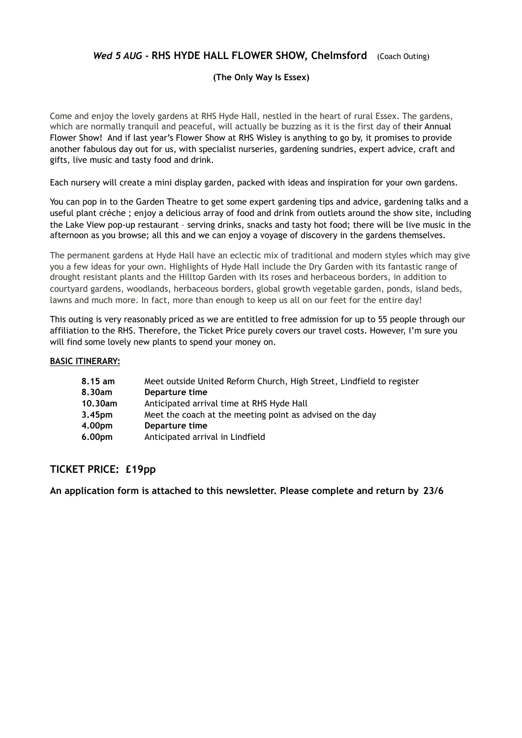## *Wed 5 AUG -* **RHS HYDE HALL FLOWER SHOW, Chelmsford** (Coach Outing)

#### **(The Only Way Is Essex)**

Come and enjoy the lovely gardens at RHS Hyde Hall, nestled in the heart of rural Essex. The gardens, which are normally tranquil and peaceful, will actually be buzzing as it is the first day of their Annual Flower Show! And if last year's Flower Show at RHS Wisley is anything to go by, it promises to provide another fabulous day out for us, with specialist nurseries, gardening sundries, expert advice, craft and gifts, live music and tasty food and drink.

Each nursery will create a mini display garden, packed with ideas and inspiration for your own gardens.

You can pop in to the Garden Theatre to get some expert gardening tips and advice, gardening talks and a useful plant crèche ; enjoy a delicious array of food and drink from outlets around the show site, including the Lake View pop-up restaurant – serving drinks, snacks and tasty hot food; there will be live music in the afternoon as you browse; all this and we can enjoy a voyage of discovery in the gardens themselves.

The permanent gardens at Hyde Hall have an eclectic mix of traditional and modern styles which may give you a few ideas for your own. Highlights of Hyde Hall include the Dry Garden with its fantastic range of drought resistant plants and the Hilltop Garden with its roses and herbaceous borders, in addition to courtyard gardens, woodlands, herbaceous borders, global growth vegetable garden, ponds, island beds, lawns and much more. In fact, more than enough to keep us all on our feet for the entire day!

This outing is very reasonably priced as we are entitled to free admission for up to 55 people through our affiliation to the RHS. Therefore, the Ticket Price purely covers our travel costs. However, I'm sure you will find some lovely new plants to spend your money on.

#### **BASIC ITINERARY:**

| 8.15 am            | Meet outside United Reform Church, High Street, Lindfield to register |
|--------------------|-----------------------------------------------------------------------|
| 8.30am             | Departure time                                                        |
| 10.30am            | Anticipated arrival time at RHS Hyde Hall                             |
| 3.45 <sub>pm</sub> | Meet the coach at the meeting point as advised on the day             |
| 4.00pm             | Departure time                                                        |
| 6.00pm             | Anticipated arrival in Lindfield                                      |

## **TICKET PRICE: £19pp**

**An application form is attached to this newsletter. Please complete and return by 23/6**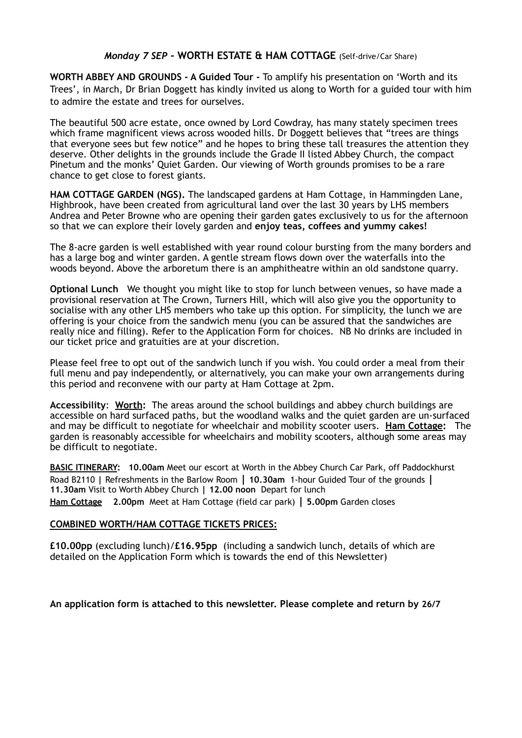## *Monday 7 SEP -* **WORTH ESTATE & HAM COTTAGE** (Self-drive/Car Share)

**WORTH ABBEY AND GROUNDS - A Guided Tour -** To amplify his presentation on 'Worth and its Trees', in March, Dr Brian Doggett has kindly invited us along to Worth for a guided tour with him to admire the estate and trees for ourselves.

The beautiful 500 acre estate, once owned by Lord Cowdray, has many stately specimen trees which frame magnificent views across wooded hills. Dr Doggett believes that "trees are things that everyone sees but few notice" and he hopes to bring these tall treasures the attention they deserve. Other delights in the grounds include the Grade II listed Abbey Church, the compact Pinetum and the monks' Quiet Garden. Our viewing of Worth grounds promises to be a rare chance to get close to forest giants.

**HAM COTTAGE GARDEN (NGS).** The landscaped gardens at Ham Cottage, in Hammingden Lane, Highbrook, have been created from agricultural land over the last 30 years by LHS members Andrea and Peter Browne who are opening their garden gates exclusively to us for the afternoon so that we can explore their lovely garden and **enjoy teas, coffees and yummy cakes!** 

The 8-acre garden is well established with year round colour bursting from the many borders and has a large bog and winter garden. A gentle stream flows down over the waterfalls into the woods beyond. Above the arboretum there is an amphitheatre within an old sandstone quarry.

**Optional Lunch** We thought you might like to stop for lunch between venues, so have made a provisional reservation at The Crown, Turners Hill, which will also give you the opportunity to socialise with any other LHS members who take up this option. For simplicity, the lunch we are offering is your choice from the sandwich menu (you can be assured that the sandwiches are really nice and filling). Refer to the Application Form for choices. NB No drinks are included in our ticket price and gratuities are at your discretion.

Please feel free to opt out of the sandwich lunch if you wish. You could order a meal from their full menu and pay independently, or alternatively, you can make your own arrangements during this period and reconvene with our party at Ham Cottage at 2pm.

**Accessibility**: **Worth:** The areas around the school buildings and abbey church buildings are accessible on hard surfaced paths, but the woodland walks and the quiet garden are un-surfaced and may be difficult to negotiate for wheelchair and mobility scooter users. **Ham Cottage:** The garden is reasonably accessible for wheelchairs and mobility scooters, although some areas may be difficult to negotiate.

**BASIC ITINERARY: 10.00am** Meet our escort at Worth in the Abbey Church Car Park, off Paddockhurst Road B2110 **|** Refreshments in the Barlow Room **| 10.30am** 1-hour Guided Tour of the grounds **| 11.30am** Visit to Worth Abbey Church **| 12.00 noon** Depart for lunch **Ham Cottage 2.00pm** Meet at Ham Cottage (field car park) **| 5.00pm** Garden closes

#### **COMBINED WORTH/HAM COTTAGE TICKETS PRICES:**

**£10.00pp** (excluding lunch)/**£16.95pp** (including a sandwich lunch, details of which are detailed on the Application Form which is towards the end of this Newsletter)

**An application form is attached to this newsletter. Please complete and return by 26/7**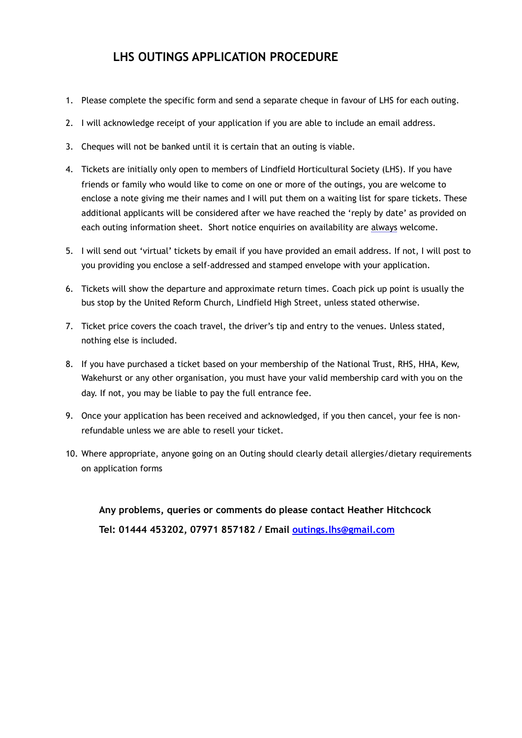# **LHS OUTINGS APPLICATION PROCEDURE**

- 1. Please complete the specific form and send a separate cheque in favour of LHS for each outing.
- 2. I will acknowledge receipt of your application if you are able to include an email address.
- 3. Cheques will not be banked until it is certain that an outing is viable.
- 4. Tickets are initially only open to members of Lindfield Horticultural Society (LHS). If you have friends or family who would like to come on one or more of the outings, you are welcome to enclose a note giving me their names and I will put them on a waiting list for spare tickets. These additional applicants will be considered after we have reached the 'reply by date' as provided on each outing information sheet. Short notice enquiries on availability are always welcome.
- 5. I will send out 'virtual' tickets by email if you have provided an email address. If not, I will post to you providing you enclose a self-addressed and stamped envelope with your application.
- 6. Tickets will show the departure and approximate return times. Coach pick up point is usually the bus stop by the United Reform Church, Lindfield High Street, unless stated otherwise.
- 7. Ticket price covers the coach travel, the driver's tip and entry to the venues. Unless stated, nothing else is included.
- 8. If you have purchased a ticket based on your membership of the National Trust, RHS, HHA, Kew, Wakehurst or any other organisation, you must have your valid membership card with you on the day. If not, you may be liable to pay the full entrance fee.
- 9. Once your application has been received and acknowledged, if you then cancel, your fee is nonrefundable unless we are able to resell your ticket.
- 10. Where appropriate, anyone going on an Outing should clearly detail allergies/dietary requirements on application forms

**Any problems, queries or comments do please contact Heather Hitchcock Tel: 01444 453202, 07971 857182 / Email [outings.lhs@gmail.com](mailto:outings.lhs@gmail.com)**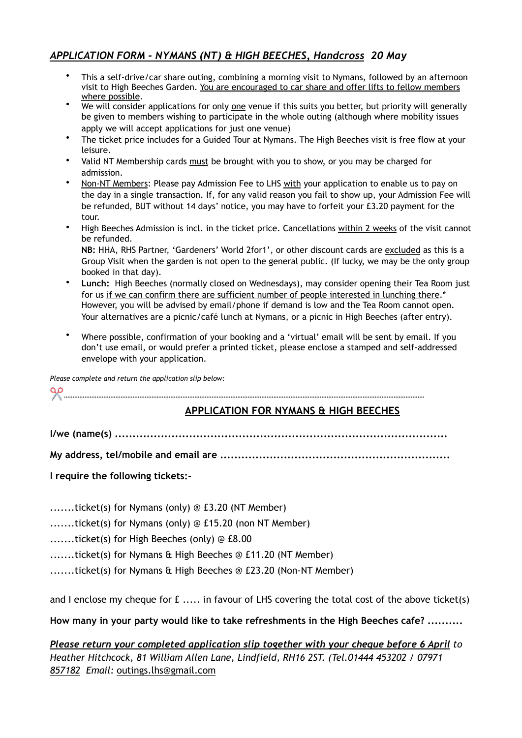# *APPLICATION FORM - NYMANS (NT) & HIGH BEECHES, Handcross 20 May*

- This a self-drive/car share outing, combining a morning visit to Nymans, followed by an afternoon visit to High Beeches Garden. You are encouraged to car share and offer lifts to fellow members where possible.
- We will consider applications for only <u>one</u> venue if this suits you better, but priority will generally be given to members wishing to participate in the whole outing (although where mobility issues apply we will accept applications for just one venue)
- The ticket price includes for a Guided Tour at Nymans. The High Beeches visit is free flow at your leisure.
- Valid NT Membership cards must be brought with you to show, or you may be charged for admission.
- Non-NT Members: Please pay Admission Fee to LHS with your application to enable us to pay on the day in a single transaction. If, for any valid reason you fail to show up, your Admission Fee will be refunded, BUT without 14 days' notice, you may have to forfeit your £3.20 payment for the tour.
- High Beeches Admission is incl. in the ticket price. Cancellations within 2 weeks of the visit cannot be refunded.

**NB:** HHA, RHS Partner, 'Gardeners' World 2for1', or other discount cards are excluded as this is a Group Visit when the garden is not open to the general public. (If lucky, we may be the only group booked in that day).

- **Lunch:** High Beeches (normally closed on Wednesdays), may consider opening their Tea Room just for us if we can confirm there are sufficient number of people interested in lunching there.\* However, you will be advised by email/phone if demand is low and the Tea Room cannot open. Your alternatives are a picnic/café lunch at Nymans, or a picnic in High Beeches (after entry).
- Where possible, confirmation of your booking and a 'virtual' email will be sent by email. If you don't use email, or would prefer a printed ticket, please enclose a stamped and self-addressed envelope with your application.

*Please complete and return the application slip below:* 

✂ *…………………………………………………………………………………………………………………………………………………………………………………………* 

# **APPLICATION FOR NYMANS & HIGH BEECHES**

**I/we (name(s) ..............................................................................................** 

**My address, tel/mobile and email are .................................................................** 

**I require the following tickets:-** 

.......ticket(s) for Nymans (only) @ £3.20 (NT Member)

.......ticket(s) for Nymans (only) @ £15.20 (non NT Member)

.......ticket(s) for High Beeches (only) @ £8.00

.......ticket(s) for Nymans & High Beeches @ £11.20 (NT Member)

.......ticket(s) for Nymans & High Beeches @ £23.20 (Non-NT Member)

and I enclose my cheque for  $f$ ..... in favour of LHS covering the total cost of the above ticket(s)

**How many in your party would like to take refreshments in the High Beeches cafe? ..........** 

*Please return your completed application slip together with your cheque before 6 April to Heather Hitchcock, 81 William Allen Lane, Lindfield, RH16 2ST. (Tel.01444 453202 / 07971 857182 Email:* [outings.lhs@gmail.com](mailto:outings.lhs@gmail.com)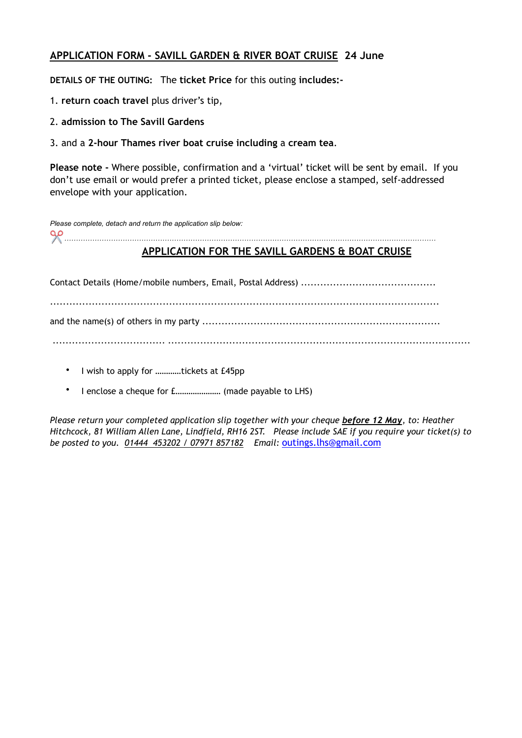# **APPLICATION FORM - SAVILL GARDEN & RIVER BOAT CRUISE 24 June**

**DETAILS OF THE OUTING:** The **ticket Price** for this outing **includes:-**

- 1. **return coach travel** plus driver's tip,
- 2. **admission to The Savill Gardens**
- 3. and a **2-hour Thames river boat cruise including** a **cream tea**.

**Please note -** Where possible, confirmation and a 'virtual' ticket will be sent by email. If you don't use email or would prefer a printed ticket, please enclose a stamped, self-addressed envelope with your application.

| Please complete, detach and return the application slip below: |  |
|----------------------------------------------------------------|--|
| $\Omega$                                                       |  |

# **APPLICATION FOR THE SAVILL GARDENS & BOAT CRUISE**

Contact Details (Home/mobile numbers, Email, Postal Address) .......................................... ......................................................................................................................... and the name(s) of others in my party .......................................................................... ................................... ..............................................................................................

- I wish to apply for ............tickets at £45pp
- I enclose a cheque for £………………… (made payable to LHS)

*Please return your completed application slip together with your cheque before 12 May, to: Heather Hitchcock, 81 William Allen Lane, Lindfield, RH16 2ST. Please include SAE if you require your ticket(s) to be posted to you. 01444 453202 / 07971 857182 Email:* [outings.lhs@gmail.com](mailto:outings.lhs@gmail.com)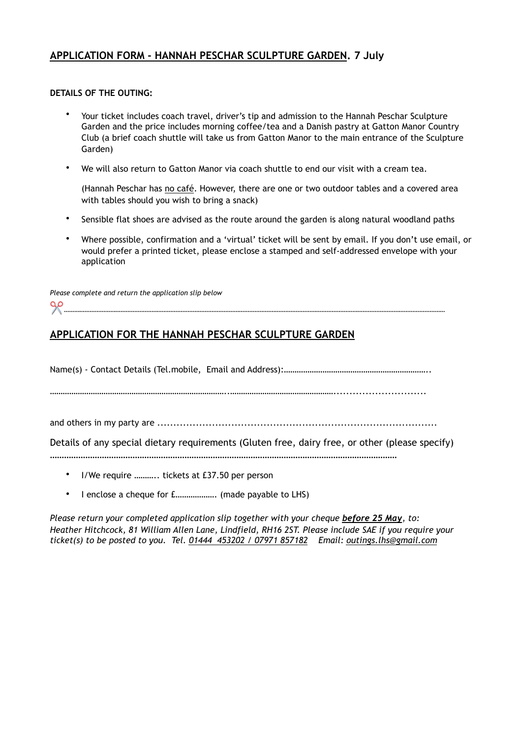## **APPLICATION FORM - HANNAH PESCHAR SCULPTURE GARDEN. 7 July**

#### **DETAILS OF THE OUTING:**

- Your ticket includes coach travel, driver's tip and admission to the Hannah Peschar Sculpture Garden and the price includes morning coffee/tea and a Danish pastry at Gatton Manor Country Club (a brief coach shuttle will take us from Gatton Manor to the main entrance of the Sculpture Garden)
- We will also return to Gatton Manor via coach shuttle to end our visit with a cream tea.

(Hannah Peschar has no café. However, there are one or two outdoor tables and a covered area with tables should you wish to bring a snack)

- Sensible flat shoes are advised as the route around the garden is along natural woodland paths
- Where possible, confirmation and a 'virtual' ticket will be sent by email. If you don't use email, or would prefer a printed ticket, please enclose a stamped and self-addressed envelope with your application

*Please complete and return the application slip below*  ✂ *……………………………………………………………………………………………………………………………………………………………………………………………………* 

# **APPLICATION FOR THE HANNAH PESCHAR SCULPTURE GARDEN**

Name(s) - Contact Details (Tel.mobile, Email and Address):…………………………………………………………

………………………………………………………………………..………………………………………….............................

and others in my party are .......................................................................................

Details of any special dietary requirements (Gluten free, dairy free, or other (please specify) …………………………………………………………………………………………………………………………………

- I/We require ……….. tickets at £37.50 per person
- I enclose a cheque for £………………. (made payable to LHS)

*Please return your completed application slip together with your cheque before 25 May, to: Heather Hitchcock, 81 William Allen Lane, Lindfield, RH16 2ST. Please include SAE if you require your ticket(s) to be posted to you. Tel. 01444 453202 / 07971 857182 Email: outings.lhs@gmail.com*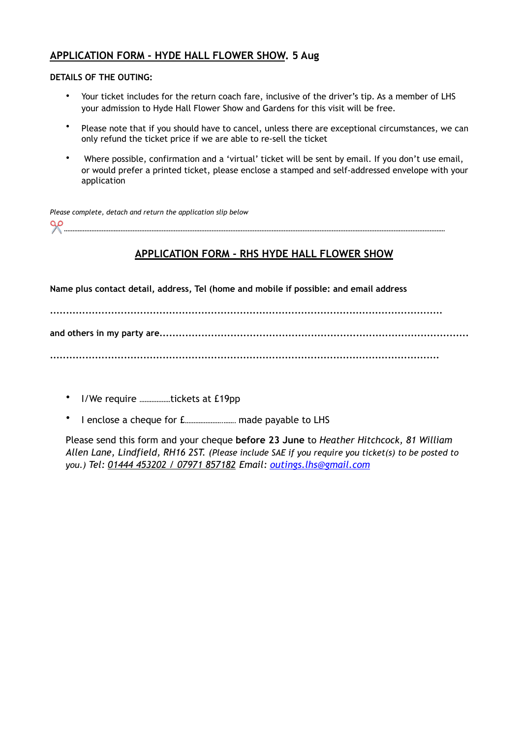## **APPLICATION FORM - HYDE HALL FLOWER SHOW. 5 Aug**

#### **DETAILS OF THE OUTING:**

- Your ticket includes for the return coach fare, inclusive of the driver's tip. As a member of LHS your admission to Hyde Hall Flower Show and Gardens for this visit will be free.
- Please note that if you should have to cancel, unless there are exceptional circumstances, we can only refund the ticket price if we are able to re-sell the ticket
- Where possible, confirmation and a 'virtual' ticket will be sent by email. If you don't use email, or would prefer a printed ticket, please enclose a stamped and self-addressed envelope with your application

*Please complete, detach and return the application slip below*  ✂ *……………………………………………………………………………………………………………………………………………………………………………………………………* 

# **APPLICATION FORM - RHS HYDE HALL FLOWER SHOW**

**Name plus contact detail, address, Tel (home and mobile if possible: and email address** 

**..........................................................................................................................** 

**and others in my party are................................................................................................** 

**.........................................................................................................................** 

- I/We require ………………tickets at £19pp
- I enclose a cheque for £………………….……. made payable to LHS

Please send this form and your cheque **before 23 June** to *Heather Hitchcock, 81 William Allen Lane, Lindfield, RH16 2ST. (Please include SAE if you require you ticket(s) to be posted to you.) Tel: 01444 453202 / 07971 857182 Email: [outings.lhs@gmail.com](mailto:outings.lhs@gmail.com)*